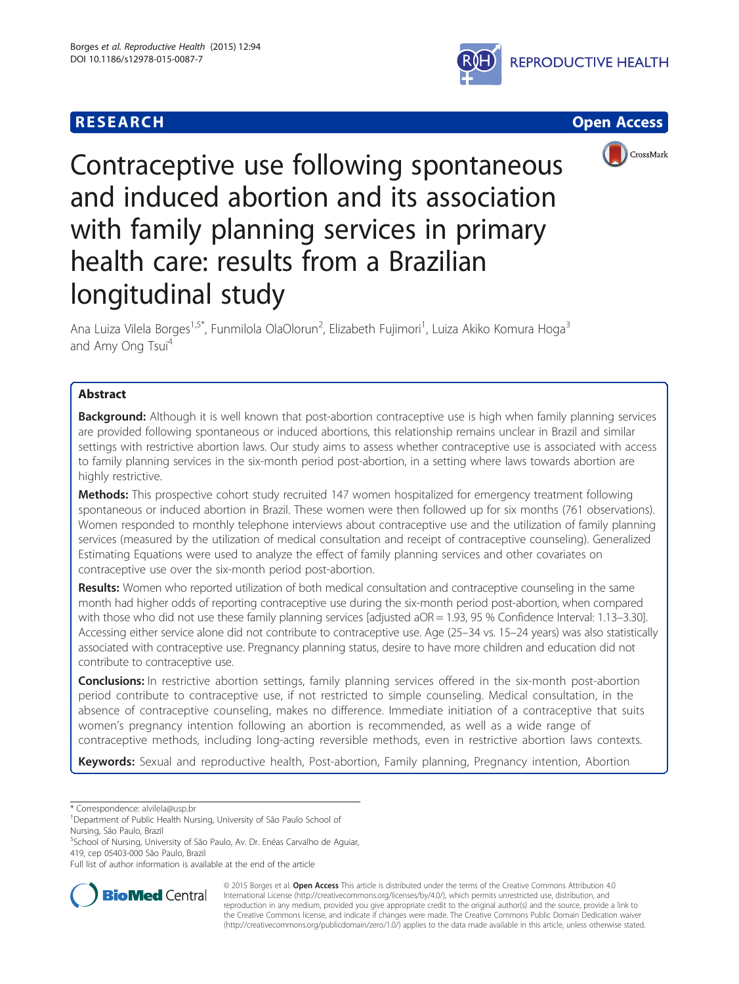





# Contraceptive use following spontaneous and induced abortion and its association with family planning services in primary health care: results from a Brazilian longitudinal study

Ana Luiza Vilela Borges<sup>1,5\*</sup>, Funmilola OlaOlorun<sup>2</sup>, Elizabeth Fujimori<sup>1</sup>, Luiza Akiko Komura Hoga<sup>3</sup> and Amy Ong Tsui<sup>4</sup>

# Abstract

Background: Although it is well known that post-abortion contraceptive use is high when family planning services are provided following spontaneous or induced abortions, this relationship remains unclear in Brazil and similar settings with restrictive abortion laws. Our study aims to assess whether contraceptive use is associated with access to family planning services in the six-month period post-abortion, in a setting where laws towards abortion are highly restrictive.

Methods: This prospective cohort study recruited 147 women hospitalized for emergency treatment following spontaneous or induced abortion in Brazil. These women were then followed up for six months (761 observations). Women responded to monthly telephone interviews about contraceptive use and the utilization of family planning services (measured by the utilization of medical consultation and receipt of contraceptive counseling). Generalized Estimating Equations were used to analyze the effect of family planning services and other covariates on contraceptive use over the six-month period post-abortion.

Results: Women who reported utilization of both medical consultation and contraceptive counseling in the same month had higher odds of reporting contraceptive use during the six-month period post-abortion, when compared with those who did not use these family planning services [adjusted aOR = 1.93, 95 % Confidence Interval: 1.13–3.30]. Accessing either service alone did not contribute to contraceptive use. Age (25–34 vs. 15–24 years) was also statistically associated with contraceptive use. Pregnancy planning status, desire to have more children and education did not contribute to contraceptive use.

**Conclusions:** In restrictive abortion settings, family planning services offered in the six-month post-abortion period contribute to contraceptive use, if not restricted to simple counseling. Medical consultation, in the absence of contraceptive counseling, makes no difference. Immediate initiation of a contraceptive that suits women's pregnancy intention following an abortion is recommended, as well as a wide range of contraceptive methods, including long-acting reversible methods, even in restrictive abortion laws contexts.

Keywords: Sexual and reproductive health, Post-abortion, Family planning, Pregnancy intention, Abortion

\* Correspondence: [alvilela@usp.br](mailto:alvilela@usp.br) <sup>1</sup>

5 School of Nursing, University of São Paulo, Av. Dr. Enéas Carvalho de Aguiar, 419, cep 05403-000 São Paulo, Brazil

Full list of author information is available at the end of the article



© 2015 Borges et al. Open Access This article is distributed under the terms of the Creative Commons Attribution 4.0 International License [\(http://creativecommons.org/licenses/by/4.0/](http://creativecommons.org/licenses/by/4.0/)), which permits unrestricted use, distribution, and reproduction in any medium, provided you give appropriate credit to the original author(s) and the source, provide a link to the Creative Commons license, and indicate if changes were made. The Creative Commons Public Domain Dedication waiver [\(http://creativecommons.org/publicdomain/zero/1.0/](http://creativecommons.org/publicdomain/zero/1.0/)) applies to the data made available in this article, unless otherwise stated.

<sup>&</sup>lt;sup>1</sup>Department of Public Health Nursing, University of São Paulo School of Nursing, São Paulo, Brazil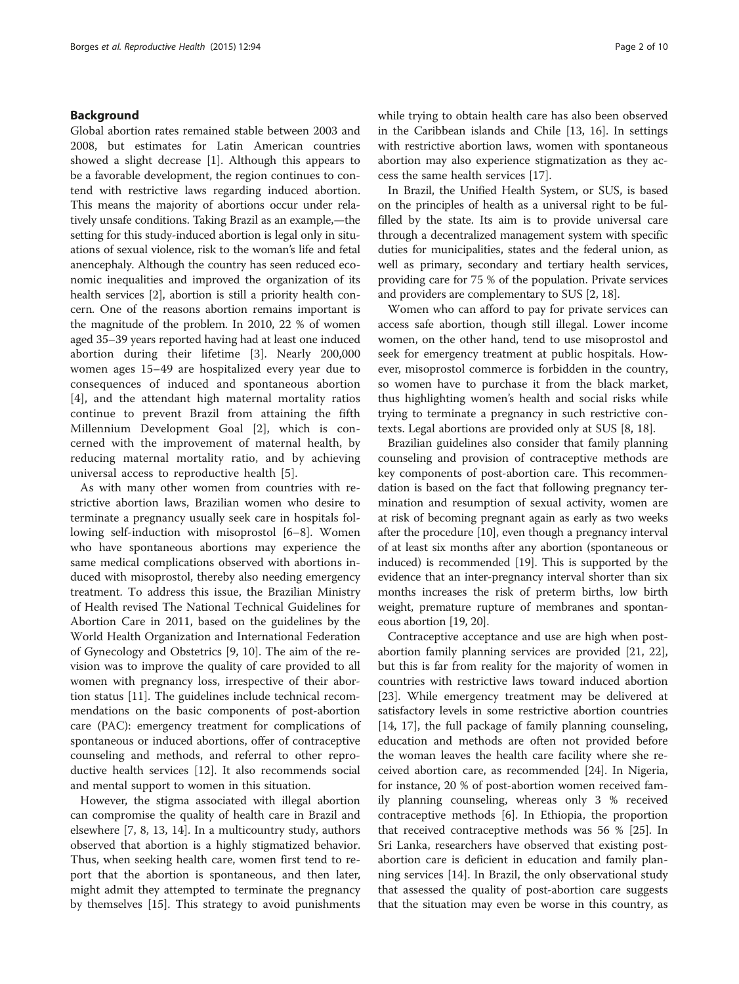# Background

Global abortion rates remained stable between 2003 and 2008, but estimates for Latin American countries showed a slight decrease [[1\]](#page-9-0). Although this appears to be a favorable development, the region continues to contend with restrictive laws regarding induced abortion. This means the majority of abortions occur under relatively unsafe conditions. Taking Brazil as an example,—the setting for this study-induced abortion is legal only in situations of sexual violence, risk to the woman's life and fetal anencephaly. Although the country has seen reduced economic inequalities and improved the organization of its health services [\[2](#page-9-0)], abortion is still a priority health concern. One of the reasons abortion remains important is the magnitude of the problem. In 2010, 22 % of women aged 35–39 years reported having had at least one induced abortion during their lifetime [[3\]](#page-9-0). Nearly 200,000 women ages 15–49 are hospitalized every year due to consequences of induced and spontaneous abortion [[4\]](#page-9-0), and the attendant high maternal mortality ratios continue to prevent Brazil from attaining the fifth Millennium Development Goal [[2\]](#page-9-0), which is concerned with the improvement of maternal health, by reducing maternal mortality ratio, and by achieving universal access to reproductive health [[5\]](#page-9-0).

As with many other women from countries with restrictive abortion laws, Brazilian women who desire to terminate a pregnancy usually seek care in hospitals following self-induction with misoprostol [\[6](#page-9-0)–[8\]](#page-9-0). Women who have spontaneous abortions may experience the same medical complications observed with abortions induced with misoprostol, thereby also needing emergency treatment. To address this issue, the Brazilian Ministry of Health revised The National Technical Guidelines for Abortion Care in 2011, based on the guidelines by the World Health Organization and International Federation of Gynecology and Obstetrics [\[9](#page-9-0), [10](#page-9-0)]. The aim of the revision was to improve the quality of care provided to all women with pregnancy loss, irrespective of their abortion status [\[11\]](#page-9-0). The guidelines include technical recommendations on the basic components of post-abortion care (PAC): emergency treatment for complications of spontaneous or induced abortions, offer of contraceptive counseling and methods, and referral to other reproductive health services [[12\]](#page-9-0). It also recommends social and mental support to women in this situation.

However, the stigma associated with illegal abortion can compromise the quality of health care in Brazil and elsewhere [[7, 8, 13](#page-9-0), [14](#page-9-0)]. In a multicountry study, authors observed that abortion is a highly stigmatized behavior. Thus, when seeking health care, women first tend to report that the abortion is spontaneous, and then later, might admit they attempted to terminate the pregnancy by themselves [\[15\]](#page-9-0). This strategy to avoid punishments while trying to obtain health care has also been observed in the Caribbean islands and Chile [\[13](#page-9-0), [16](#page-9-0)]. In settings with restrictive abortion laws, women with spontaneous abortion may also experience stigmatization as they access the same health services [[17](#page-9-0)].

In Brazil, the Unified Health System, or SUS, is based on the principles of health as a universal right to be fulfilled by the state. Its aim is to provide universal care through a decentralized management system with specific duties for municipalities, states and the federal union, as well as primary, secondary and tertiary health services, providing care for 75 % of the population. Private services and providers are complementary to SUS [\[2](#page-9-0), [18\]](#page-9-0).

Women who can afford to pay for private services can access safe abortion, though still illegal. Lower income women, on the other hand, tend to use misoprostol and seek for emergency treatment at public hospitals. However, misoprostol commerce is forbidden in the country, so women have to purchase it from the black market, thus highlighting women's health and social risks while trying to terminate a pregnancy in such restrictive contexts. Legal abortions are provided only at SUS [\[8](#page-9-0), [18](#page-9-0)].

Brazilian guidelines also consider that family planning counseling and provision of contraceptive methods are key components of post-abortion care. This recommendation is based on the fact that following pregnancy termination and resumption of sexual activity, women are at risk of becoming pregnant again as early as two weeks after the procedure [\[10\]](#page-9-0), even though a pregnancy interval of at least six months after any abortion (spontaneous or induced) is recommended [\[19\]](#page-9-0). This is supported by the evidence that an inter-pregnancy interval shorter than six months increases the risk of preterm births, low birth weight, premature rupture of membranes and spontaneous abortion [\[19, 20](#page-9-0)].

Contraceptive acceptance and use are high when postabortion family planning services are provided [\[21](#page-9-0), [22](#page-9-0)], but this is far from reality for the majority of women in countries with restrictive laws toward induced abortion [[23\]](#page-9-0). While emergency treatment may be delivered at satisfactory levels in some restrictive abortion countries [[14, 17](#page-9-0)], the full package of family planning counseling, education and methods are often not provided before the woman leaves the health care facility where she received abortion care, as recommended [\[24](#page-9-0)]. In Nigeria, for instance, 20 % of post-abortion women received family planning counseling, whereas only 3 % received contraceptive methods [\[6](#page-9-0)]. In Ethiopia, the proportion that received contraceptive methods was 56 % [\[25](#page-9-0)]. In Sri Lanka, researchers have observed that existing postabortion care is deficient in education and family planning services [[14\]](#page-9-0). In Brazil, the only observational study that assessed the quality of post-abortion care suggests that the situation may even be worse in this country, as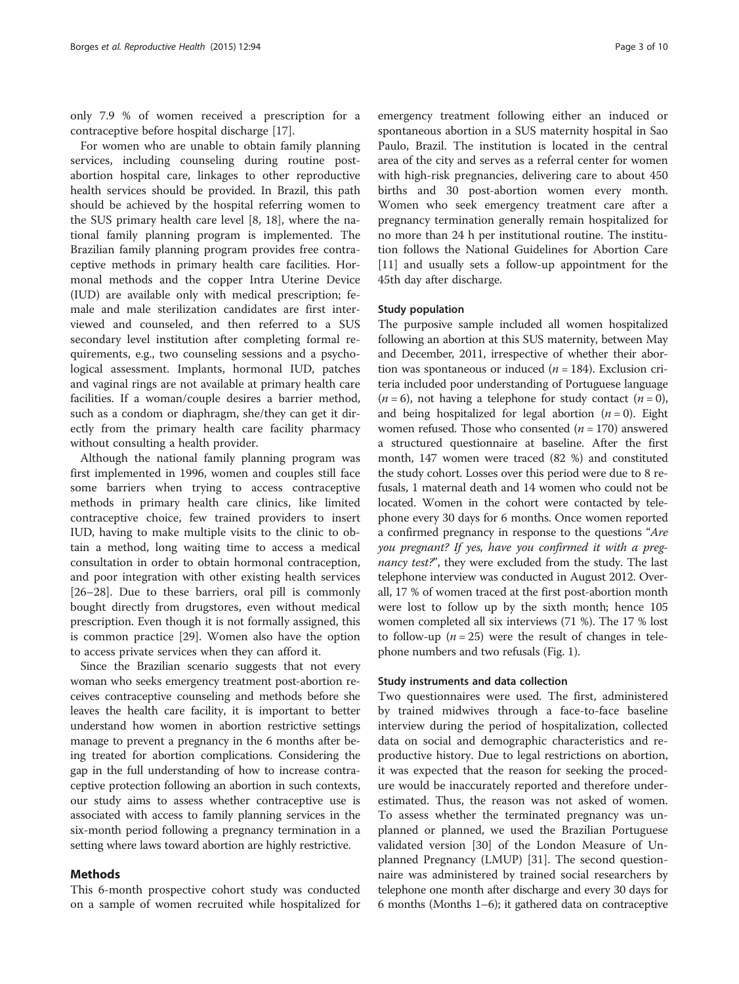only 7.9 % of women received a prescription for a contraceptive before hospital discharge [[17](#page-9-0)].

For women who are unable to obtain family planning services, including counseling during routine postabortion hospital care, linkages to other reproductive health services should be provided. In Brazil, this path should be achieved by the hospital referring women to the SUS primary health care level [\[8](#page-9-0), [18\]](#page-9-0), where the national family planning program is implemented. The Brazilian family planning program provides free contraceptive methods in primary health care facilities. Hormonal methods and the copper Intra Uterine Device (IUD) are available only with medical prescription; female and male sterilization candidates are first interviewed and counseled, and then referred to a SUS secondary level institution after completing formal requirements, e.g., two counseling sessions and a psychological assessment. Implants, hormonal IUD, patches and vaginal rings are not available at primary health care facilities. If a woman/couple desires a barrier method, such as a condom or diaphragm, she/they can get it directly from the primary health care facility pharmacy without consulting a health provider.

Although the national family planning program was first implemented in 1996, women and couples still face some barriers when trying to access contraceptive methods in primary health care clinics, like limited contraceptive choice, few trained providers to insert IUD, having to make multiple visits to the clinic to obtain a method, long waiting time to access a medical consultation in order to obtain hormonal contraception, and poor integration with other existing health services [[26](#page-9-0)–[28](#page-9-0)]. Due to these barriers, oral pill is commonly bought directly from drugstores, even without medical prescription. Even though it is not formally assigned, this is common practice [\[29](#page-9-0)]. Women also have the option to access private services when they can afford it.

Since the Brazilian scenario suggests that not every woman who seeks emergency treatment post-abortion receives contraceptive counseling and methods before she leaves the health care facility, it is important to better understand how women in abortion restrictive settings manage to prevent a pregnancy in the 6 months after being treated for abortion complications. Considering the gap in the full understanding of how to increase contraceptive protection following an abortion in such contexts, our study aims to assess whether contraceptive use is associated with access to family planning services in the six-month period following a pregnancy termination in a setting where laws toward abortion are highly restrictive.

#### Methods

This 6-month prospective cohort study was conducted on a sample of women recruited while hospitalized for

emergency treatment following either an induced or spontaneous abortion in a SUS maternity hospital in Sao Paulo, Brazil. The institution is located in the central area of the city and serves as a referral center for women with high-risk pregnancies, delivering care to about 450 births and 30 post-abortion women every month. Women who seek emergency treatment care after a pregnancy termination generally remain hospitalized for no more than 24 h per institutional routine. The institution follows the National Guidelines for Abortion Care [[11\]](#page-9-0) and usually sets a follow-up appointment for the 45th day after discharge.

#### Study population

The purposive sample included all women hospitalized following an abortion at this SUS maternity, between May and December, 2011, irrespective of whether their abortion was spontaneous or induced  $(n = 184)$ . Exclusion criteria included poor understanding of Portuguese language  $(n = 6)$ , not having a telephone for study contact  $(n = 0)$ , and being hospitalized for legal abortion  $(n = 0)$ . Eight women refused. Those who consented  $(n = 170)$  answered a structured questionnaire at baseline. After the first month, 147 women were traced (82 %) and constituted the study cohort. Losses over this period were due to 8 refusals, 1 maternal death and 14 women who could not be located. Women in the cohort were contacted by telephone every 30 days for 6 months. Once women reported a confirmed pregnancy in response to the questions "Are you pregnant? If yes, have you confirmed it with a pregnancy test?", they were excluded from the study. The last telephone interview was conducted in August 2012. Overall, 17 % of women traced at the first post-abortion month were lost to follow up by the sixth month; hence 105 women completed all six interviews (71 %). The 17 % lost to follow-up ( $n = 25$ ) were the result of changes in telephone numbers and two refusals (Fig. [1\)](#page-3-0).

# Study instruments and data collection

Two questionnaires were used. The first, administered by trained midwives through a face-to-face baseline interview during the period of hospitalization, collected data on social and demographic characteristics and reproductive history. Due to legal restrictions on abortion, it was expected that the reason for seeking the procedure would be inaccurately reported and therefore underestimated. Thus, the reason was not asked of women. To assess whether the terminated pregnancy was unplanned or planned, we used the Brazilian Portuguese validated version [[30\]](#page-9-0) of the London Measure of Unplanned Pregnancy (LMUP) [\[31](#page-9-0)]. The second questionnaire was administered by trained social researchers by telephone one month after discharge and every 30 days for 6 months (Months 1–6); it gathered data on contraceptive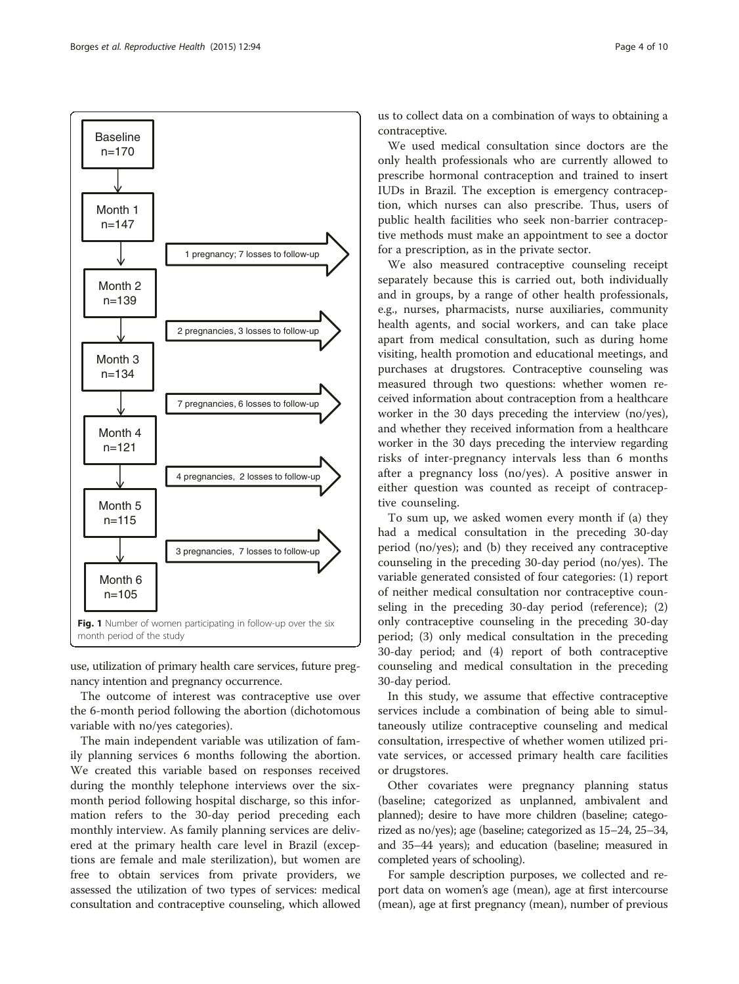<span id="page-3-0"></span>

use, utilization of primary health care services, future pregnancy intention and pregnancy occurrence.

The outcome of interest was contraceptive use over the 6-month period following the abortion (dichotomous variable with no/yes categories).

The main independent variable was utilization of family planning services 6 months following the abortion. We created this variable based on responses received during the monthly telephone interviews over the sixmonth period following hospital discharge, so this information refers to the 30-day period preceding each monthly interview. As family planning services are delivered at the primary health care level in Brazil (exceptions are female and male sterilization), but women are free to obtain services from private providers, we assessed the utilization of two types of services: medical consultation and contraceptive counseling, which allowed

us to collect data on a combination of ways to obtaining a contraceptive.

We used medical consultation since doctors are the only health professionals who are currently allowed to prescribe hormonal contraception and trained to insert IUDs in Brazil. The exception is emergency contraception, which nurses can also prescribe. Thus, users of public health facilities who seek non-barrier contraceptive methods must make an appointment to see a doctor for a prescription, as in the private sector.

We also measured contraceptive counseling receipt separately because this is carried out, both individually and in groups, by a range of other health professionals, e.g., nurses, pharmacists, nurse auxiliaries, community health agents, and social workers, and can take place apart from medical consultation, such as during home visiting, health promotion and educational meetings, and purchases at drugstores. Contraceptive counseling was measured through two questions: whether women received information about contraception from a healthcare worker in the 30 days preceding the interview (no/yes), and whether they received information from a healthcare worker in the 30 days preceding the interview regarding risks of inter-pregnancy intervals less than 6 months after a pregnancy loss (no/yes). A positive answer in either question was counted as receipt of contraceptive counseling.

To sum up, we asked women every month if (a) they had a medical consultation in the preceding 30-day period (no/yes); and (b) they received any contraceptive counseling in the preceding 30-day period (no/yes). The variable generated consisted of four categories: (1) report of neither medical consultation nor contraceptive counseling in the preceding 30-day period (reference); (2) only contraceptive counseling in the preceding 30-day period; (3) only medical consultation in the preceding 30-day period; and (4) report of both contraceptive counseling and medical consultation in the preceding 30-day period.

In this study, we assume that effective contraceptive services include a combination of being able to simultaneously utilize contraceptive counseling and medical consultation, irrespective of whether women utilized private services, or accessed primary health care facilities or drugstores.

Other covariates were pregnancy planning status (baseline; categorized as unplanned, ambivalent and planned); desire to have more children (baseline; categorized as no/yes); age (baseline; categorized as 15–24, 25–34, and 35–44 years); and education (baseline; measured in completed years of schooling).

For sample description purposes, we collected and report data on women's age (mean), age at first intercourse (mean), age at first pregnancy (mean), number of previous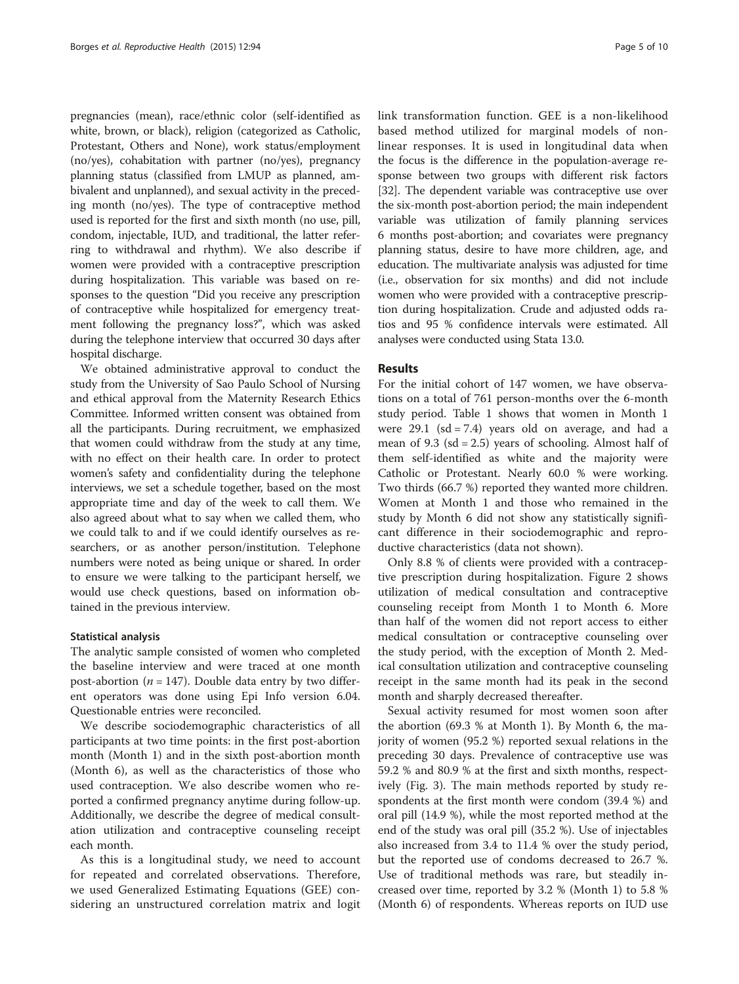pregnancies (mean), race/ethnic color (self-identified as white, brown, or black), religion (categorized as Catholic, Protestant, Others and None), work status/employment (no/yes), cohabitation with partner (no/yes), pregnancy planning status (classified from LMUP as planned, ambivalent and unplanned), and sexual activity in the preceding month (no/yes). The type of contraceptive method used is reported for the first and sixth month (no use, pill, condom, injectable, IUD, and traditional, the latter referring to withdrawal and rhythm). We also describe if women were provided with a contraceptive prescription during hospitalization. This variable was based on responses to the question "Did you receive any prescription of contraceptive while hospitalized for emergency treatment following the pregnancy loss?", which was asked during the telephone interview that occurred 30 days after hospital discharge.

We obtained administrative approval to conduct the study from the University of Sao Paulo School of Nursing and ethical approval from the Maternity Research Ethics Committee. Informed written consent was obtained from all the participants. During recruitment, we emphasized that women could withdraw from the study at any time, with no effect on their health care. In order to protect women's safety and confidentiality during the telephone interviews, we set a schedule together, based on the most appropriate time and day of the week to call them. We also agreed about what to say when we called them, who we could talk to and if we could identify ourselves as researchers, or as another person/institution. Telephone numbers were noted as being unique or shared. In order to ensure we were talking to the participant herself, we would use check questions, based on information obtained in the previous interview.

#### Statistical analysis

The analytic sample consisted of women who completed the baseline interview and were traced at one month post-abortion ( $n = 147$ ). Double data entry by two different operators was done using Epi Info version 6.04. Questionable entries were reconciled.

We describe sociodemographic characteristics of all participants at two time points: in the first post-abortion month (Month 1) and in the sixth post-abortion month (Month 6), as well as the characteristics of those who used contraception. We also describe women who reported a confirmed pregnancy anytime during follow-up. Additionally, we describe the degree of medical consultation utilization and contraceptive counseling receipt each month.

As this is a longitudinal study, we need to account for repeated and correlated observations. Therefore, we used Generalized Estimating Equations (GEE) considering an unstructured correlation matrix and logit link transformation function. GEE is a non-likelihood based method utilized for marginal models of nonlinear responses. It is used in longitudinal data when the focus is the difference in the population-average response between two groups with different risk factors [[32](#page-9-0)]. The dependent variable was contraceptive use over the six-month post-abortion period; the main independent variable was utilization of family planning services 6 months post-abortion; and covariates were pregnancy planning status, desire to have more children, age, and education. The multivariate analysis was adjusted for time (i.e., observation for six months) and did not include women who were provided with a contraceptive prescription during hospitalization. Crude and adjusted odds ratios and 95 % confidence intervals were estimated. All analyses were conducted using Stata 13.0.

# Results

For the initial cohort of 147 women, we have observations on a total of 761 person-months over the 6-month study period. Table [1](#page-5-0) shows that women in Month 1 were 29.1 ( $sd = 7.4$ ) years old on average, and had a mean of 9.3 ( $sd = 2.5$ ) years of schooling. Almost half of them self-identified as white and the majority were Catholic or Protestant. Nearly 60.0 % were working. Two thirds (66.7 %) reported they wanted more children. Women at Month 1 and those who remained in the study by Month 6 did not show any statistically significant difference in their sociodemographic and reproductive characteristics (data not shown).

Only 8.8 % of clients were provided with a contraceptive prescription during hospitalization. Figure [2](#page-5-0) shows utilization of medical consultation and contraceptive counseling receipt from Month 1 to Month 6. More than half of the women did not report access to either medical consultation or contraceptive counseling over the study period, with the exception of Month 2. Medical consultation utilization and contraceptive counseling receipt in the same month had its peak in the second month and sharply decreased thereafter.

Sexual activity resumed for most women soon after the abortion (69.3 % at Month 1). By Month 6, the majority of women (95.2 %) reported sexual relations in the preceding 30 days. Prevalence of contraceptive use was 59.2 % and 80.9 % at the first and sixth months, respectively (Fig. [3](#page-6-0)). The main methods reported by study respondents at the first month were condom (39.4 %) and oral pill (14.9 %), while the most reported method at the end of the study was oral pill (35.2 %). Use of injectables also increased from 3.4 to 11.4 % over the study period, but the reported use of condoms decreased to 26.7 %. Use of traditional methods was rare, but steadily increased over time, reported by 3.2 % (Month 1) to 5.8 % (Month 6) of respondents. Whereas reports on IUD use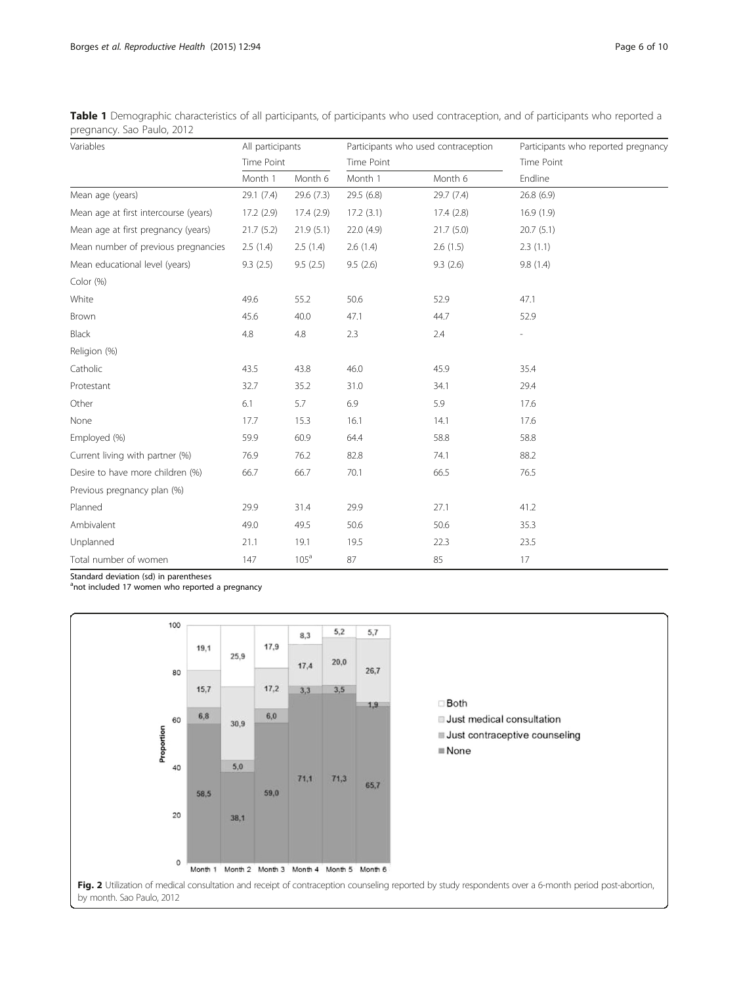<span id="page-5-0"></span>Table 1 Demographic characteristics of all participants, of participants who used contraception, and of participants who reported a pregnancy. Sao Paulo, 2012

| Variables                             | All participants<br>Time Point |                  |            | Participants who used contraception | Participants who reported pregnancy<br>Time Point |  |  |
|---------------------------------------|--------------------------------|------------------|------------|-------------------------------------|---------------------------------------------------|--|--|
|                                       |                                |                  | Time Point |                                     |                                                   |  |  |
|                                       | Month 1                        | Month 6          | Month 1    | Month 6                             | Endline                                           |  |  |
| Mean age (years)                      | 29.1(7.4)                      | 29.6 (7.3)       | 29.5(6.8)  | 29.7(7.4)                           | 26.8(6.9)                                         |  |  |
| Mean age at first intercourse (years) | 17.2(2.9)                      | 17.4(2.9)        | 17.2(3.1)  | 17.4(2.8)                           | 16.9(1.9)                                         |  |  |
| Mean age at first pregnancy (years)   | 21.7(5.2)                      | 21.9(5.1)        | 22.0(4.9)  | 21.7(5.0)                           | 20.7(5.1)                                         |  |  |
| Mean number of previous pregnancies   | 2.5(1.4)                       | 2.5(1.4)         | 2.6(1.4)   | 2.6(1.5)                            | 2.3(1.1)                                          |  |  |
| Mean educational level (years)        | 9.3(2.5)                       | 9.5(2.5)         | 9.5(2.6)   | 9.3(2.6)                            | 9.8(1.4)                                          |  |  |
| Color (%)                             |                                |                  |            |                                     |                                                   |  |  |
| White                                 | 49.6                           | 55.2             | 50.6       | 52.9                                | 47.1                                              |  |  |
| Brown                                 | 45.6                           | 40.0             | 47.1       | 44.7                                | 52.9                                              |  |  |
| Black                                 | 4.8                            | 4.8              | 2.3        | 2.4                                 |                                                   |  |  |
| Religion (%)                          |                                |                  |            |                                     |                                                   |  |  |
| Catholic                              | 43.5                           | 43.8             | 46.0       | 45.9                                | 35.4                                              |  |  |
| Protestant                            | 32.7                           | 35.2             | 31.0       | 34.1                                | 29.4                                              |  |  |
| Other                                 | 6.1                            | 5.7              | 6.9        | 5.9                                 | 17.6                                              |  |  |
| None                                  | 17.7                           | 15.3             | 16.1       | 14.1                                | 17.6                                              |  |  |
| Employed (%)                          | 59.9                           | 60.9             | 64.4       | 58.8                                | 58.8                                              |  |  |
| Current living with partner (%)       | 76.9                           | 76.2             | 82.8       | 74.1                                | 88.2                                              |  |  |
| Desire to have more children (%)      | 66.7                           | 66.7             | 70.1       | 66.5                                | 76.5                                              |  |  |
| Previous pregnancy plan (%)           |                                |                  |            |                                     |                                                   |  |  |
| Planned                               | 29.9                           | 31.4             | 29.9       | 27.1                                | 41.2                                              |  |  |
| Ambivalent                            | 49.0                           | 49.5             | 50.6       | 50.6                                | 35.3                                              |  |  |
| Unplanned                             | 21.1                           | 19.1             | 19.5       | 22.3                                | 23.5                                              |  |  |
| Total number of women                 | 147                            | 105 <sup>a</sup> | 87         | 85                                  | 17                                                |  |  |

Standard deviation (sd) in parentheses

<sup>a</sup>not included 17 women who reported a pregnancy

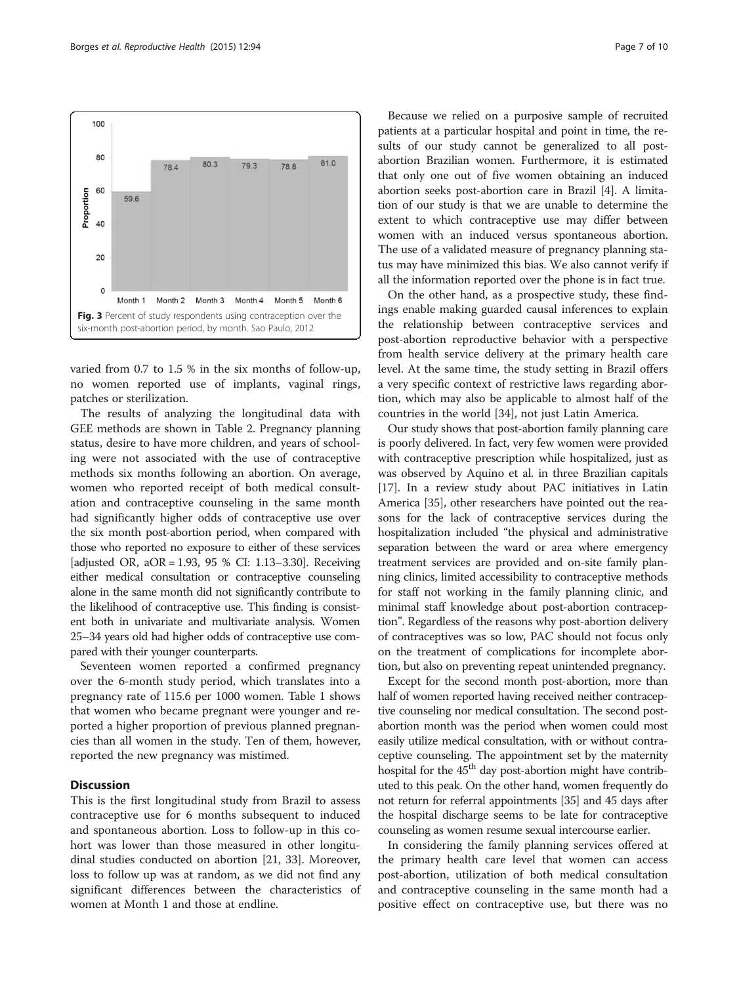<span id="page-6-0"></span>

varied from 0.7 to 1.5 % in the six months of follow-up, no women reported use of implants, vaginal rings, patches or sterilization.

The results of analyzing the longitudinal data with GEE methods are shown in Table [2.](#page-7-0) Pregnancy planning status, desire to have more children, and years of schooling were not associated with the use of contraceptive methods six months following an abortion. On average, women who reported receipt of both medical consultation and contraceptive counseling in the same month had significantly higher odds of contraceptive use over the six month post-abortion period, when compared with those who reported no exposure to either of these services [adjusted OR, aOR = 1.93, 95 % CI: 1.13–3.30]. Receiving either medical consultation or contraceptive counseling alone in the same month did not significantly contribute to the likelihood of contraceptive use. This finding is consistent both in univariate and multivariate analysis. Women 25–34 years old had higher odds of contraceptive use compared with their younger counterparts.

Seventeen women reported a confirmed pregnancy over the 6-month study period, which translates into a pregnancy rate of 115.6 per 1000 women. Table [1](#page-5-0) shows that women who became pregnant were younger and reported a higher proportion of previous planned pregnancies than all women in the study. Ten of them, however, reported the new pregnancy was mistimed.

# Discussion

This is the first longitudinal study from Brazil to assess contraceptive use for 6 months subsequent to induced and spontaneous abortion. Loss to follow-up in this cohort was lower than those measured in other longitudinal studies conducted on abortion [[21](#page-9-0), [33](#page-9-0)]. Moreover, loss to follow up was at random, as we did not find any significant differences between the characteristics of women at Month 1 and those at endline.

Because we relied on a purposive sample of recruited patients at a particular hospital and point in time, the results of our study cannot be generalized to all postabortion Brazilian women. Furthermore, it is estimated that only one out of five women obtaining an induced abortion seeks post-abortion care in Brazil [\[4](#page-9-0)]. A limitation of our study is that we are unable to determine the extent to which contraceptive use may differ between women with an induced versus spontaneous abortion. The use of a validated measure of pregnancy planning status may have minimized this bias. We also cannot verify if all the information reported over the phone is in fact true.

On the other hand, as a prospective study, these findings enable making guarded causal inferences to explain the relationship between contraceptive services and post-abortion reproductive behavior with a perspective from health service delivery at the primary health care level. At the same time, the study setting in Brazil offers a very specific context of restrictive laws regarding abortion, which may also be applicable to almost half of the countries in the world [[34\]](#page-9-0), not just Latin America.

Our study shows that post-abortion family planning care is poorly delivered. In fact, very few women were provided with contraceptive prescription while hospitalized, just as was observed by Aquino et al. in three Brazilian capitals [[17](#page-9-0)]. In a review study about PAC initiatives in Latin America [\[35\]](#page-9-0), other researchers have pointed out the reasons for the lack of contraceptive services during the hospitalization included "the physical and administrative separation between the ward or area where emergency treatment services are provided and on-site family planning clinics, limited accessibility to contraceptive methods for staff not working in the family planning clinic, and minimal staff knowledge about post-abortion contraception". Regardless of the reasons why post-abortion delivery of contraceptives was so low, PAC should not focus only on the treatment of complications for incomplete abortion, but also on preventing repeat unintended pregnancy.

Except for the second month post-abortion, more than half of women reported having received neither contraceptive counseling nor medical consultation. The second postabortion month was the period when women could most easily utilize medical consultation, with or without contraceptive counseling. The appointment set by the maternity hospital for the  $45<sup>th</sup>$  day post-abortion might have contributed to this peak. On the other hand, women frequently do not return for referral appointments [[35](#page-9-0)] and 45 days after the hospital discharge seems to be late for contraceptive counseling as women resume sexual intercourse earlier.

In considering the family planning services offered at the primary health care level that women can access post-abortion, utilization of both medical consultation and contraceptive counseling in the same month had a positive effect on contraceptive use, but there was no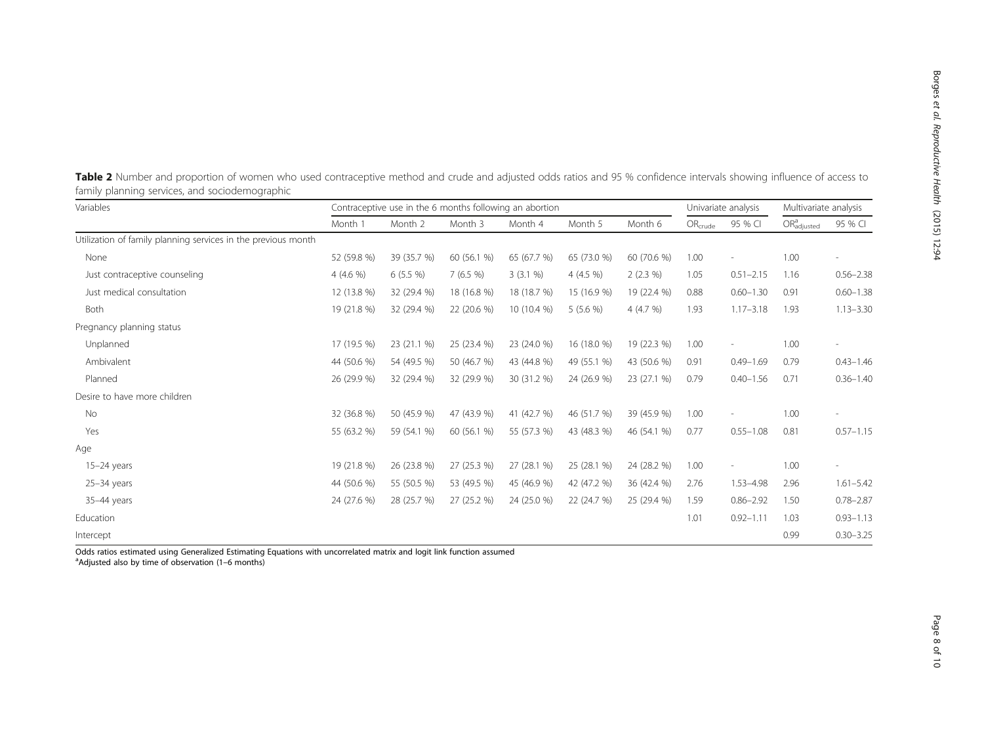| Variables                                                     | Contraceptive use in the 6 months following an abortion |             |             |             |             |             | Univariate analysis |                          | Multivariate analysis               |                          |
|---------------------------------------------------------------|---------------------------------------------------------|-------------|-------------|-------------|-------------|-------------|---------------------|--------------------------|-------------------------------------|--------------------------|
|                                                               | Month 1                                                 | Month 2     | Month 3     | Month 4     | Month 5     | Month 6     | $OR_{crude}$        | 95 % CI                  | OR <sub>adjusted</sub> <sup>a</sup> | 95 % CI                  |
| Utilization of family planning services in the previous month |                                                         |             |             |             |             |             |                     |                          |                                     |                          |
| None                                                          | 52 (59.8 %)                                             | 39 (35.7 %) | 60 (56.1 %) | 65 (67.7 %) | 65 (73.0 %) | 60 (70.6 %) | 1.00                | $\overline{\phantom{a}}$ | 1.00                                | $\overline{a}$           |
| Just contraceptive counseling                                 | $4(4.6\%)$                                              | $6(5.5\%)$  | 7(6.5%)     | 3(3.1%)     | $4(4.5\%)$  | $2(2.3\%)$  | 1.05                | $0.51 - 2.15$            | 1.16                                | $0.56 - 2.38$            |
| Just medical consultation                                     | 12 (13.8 %)                                             | 32 (29.4 %) | 18 (16.8 %) | 18 (18.7 %) | 15 (16.9 %) | 19 (22.4 %) | 0.88                | $0.60 - 1.30$            | 0.91                                | $0.60 - 1.38$            |
| Both                                                          | 19 (21.8 %)                                             | 32 (29.4 %) | 22 (20.6 %) | 10 (10.4 %) | $5(5.6\%)$  | 4 $(4.7 %)$ | 1.93                | $1.17 - 3.18$            | 1.93                                | $1.13 - 3.30$            |
| Pregnancy planning status                                     |                                                         |             |             |             |             |             |                     |                          |                                     |                          |
| Unplanned                                                     | 17 (19.5 %)                                             | 23 (21.1 %) | 25 (23.4 %) | 23 (24.0 %) | 16 (18.0 %) | 19 (22.3 %) | 1.00                |                          | 1.00                                |                          |
| Ambivalent                                                    | 44 (50.6 %)                                             | 54 (49.5 %) | 50 (46.7 %) | 43 (44.8 %) | 49 (55.1 %) | 43 (50.6 %) | 0.91                | $0.49 - 1.69$            | 0.79                                | $0.43 - 1.46$            |
| Planned                                                       | 26 (29.9 %)                                             | 32 (29.4 %) | 32 (29.9 %) | 30 (31.2 %) | 24 (26.9 %) | 23 (27.1 %) | 0.79                | $0.40 - 1.56$            | 0.71                                | $0.36 - 1.40$            |
| Desire to have more children                                  |                                                         |             |             |             |             |             |                     |                          |                                     |                          |
| No                                                            | 32 (36.8 %)                                             | 50 (45.9 %) | 47 (43.9 %) | 41 (42.7 %) | 46 (51.7 %) | 39 (45.9 %) | 1.00                |                          | 1.00                                |                          |
| Yes                                                           | 55 (63.2 %)                                             | 59 (54.1 %) | 60 (56.1 %) | 55 (57.3 %) | 43 (48.3 %) | 46 (54.1 %) | 0.77                | $0.55 - 1.08$            | 0.81                                | $0.57 - 1.15$            |
| Age                                                           |                                                         |             |             |             |             |             |                     |                          |                                     |                          |
| $15-24$ years                                                 | 19 (21.8 %)                                             | 26 (23.8 %) | 27 (25.3 %) | 27 (28.1 %) | 25 (28.1 %) | 24 (28.2 %) | 1.00                |                          | 1.00                                | $\overline{\phantom{a}}$ |
| $25-34$ years                                                 | 44 (50.6 %)                                             | 55 (50.5 %) | 53 (49.5 %) | 45 (46.9 %) | 42 (47.2 %) | 36 (42.4 %) | 2.76                | 1.53-4.98                | 2.96                                | $1.61 - 5.42$            |
| 35-44 years                                                   | 24 (27.6 %)                                             | 28 (25.7 %) | 27 (25.2 %) | 24 (25.0 %) | 22 (24.7 %) | 25 (29.4 %) | 1.59                | $0.86 - 2.92$            | 1.50                                | $0.78 - 2.87$            |
| Education                                                     |                                                         |             |             |             |             |             | 1.01                | $0.92 - 1.11$            | 1.03                                | $0.93 - 1.13$            |
| Intercept                                                     |                                                         |             |             |             |             |             |                     |                          | 0.99                                | $0.30 - 3.25$            |

<span id="page-7-0"></span>Table 2 Number and proportion of women who used contraceptive method and crude and adjusted odds ratios and 95 % confidence intervals showing influence of access to family planning services, and sociodemographic

Odds ratios estimated using Generalized Estimating Equations with uncorrelated matrix and logit link function assumed <sup>a</sup>Adjusted also by time of observation (1-6 months)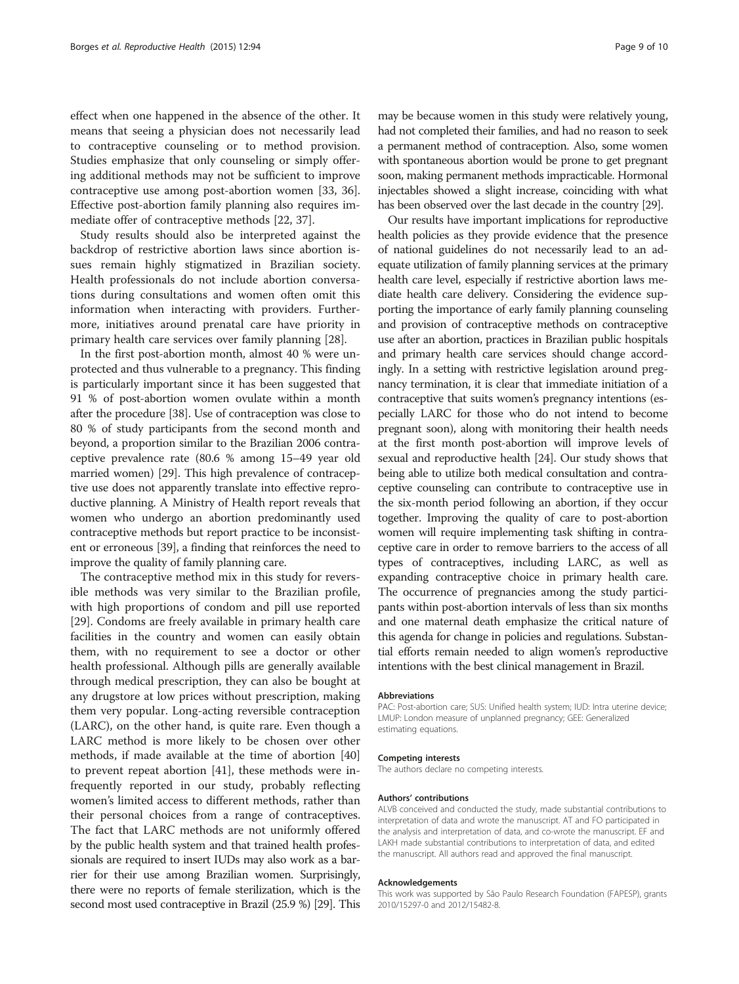effect when one happened in the absence of the other. It means that seeing a physician does not necessarily lead to contraceptive counseling or to method provision. Studies emphasize that only counseling or simply offering additional methods may not be sufficient to improve contraceptive use among post-abortion women [[33, 36](#page-9-0)]. Effective post-abortion family planning also requires immediate offer of contraceptive methods [[22, 37](#page-9-0)].

Study results should also be interpreted against the backdrop of restrictive abortion laws since abortion issues remain highly stigmatized in Brazilian society. Health professionals do not include abortion conversations during consultations and women often omit this information when interacting with providers. Furthermore, initiatives around prenatal care have priority in primary health care services over family planning [[28\]](#page-9-0).

In the first post-abortion month, almost 40 % were unprotected and thus vulnerable to a pregnancy. This finding is particularly important since it has been suggested that 91 % of post-abortion women ovulate within a month after the procedure [\[38\]](#page-9-0). Use of contraception was close to 80 % of study participants from the second month and beyond, a proportion similar to the Brazilian 2006 contraceptive prevalence rate (80.6 % among 15–49 year old married women) [[29](#page-9-0)]. This high prevalence of contraceptive use does not apparently translate into effective reproductive planning. A Ministry of Health report reveals that women who undergo an abortion predominantly used contraceptive methods but report practice to be inconsistent or erroneous [\[39](#page-9-0)], a finding that reinforces the need to improve the quality of family planning care.

The contraceptive method mix in this study for reversible methods was very similar to the Brazilian profile, with high proportions of condom and pill use reported [[29\]](#page-9-0). Condoms are freely available in primary health care facilities in the country and women can easily obtain them, with no requirement to see a doctor or other health professional. Although pills are generally available through medical prescription, they can also be bought at any drugstore at low prices without prescription, making them very popular. Long-acting reversible contraception (LARC), on the other hand, is quite rare. Even though a LARC method is more likely to be chosen over other methods, if made available at the time of abortion [[40](#page-9-0)] to prevent repeat abortion [[41](#page-9-0)], these methods were infrequently reported in our study, probably reflecting women's limited access to different methods, rather than their personal choices from a range of contraceptives. The fact that LARC methods are not uniformly offered by the public health system and that trained health professionals are required to insert IUDs may also work as a barrier for their use among Brazilian women. Surprisingly, there were no reports of female sterilization, which is the second most used contraceptive in Brazil (25.9 %) [\[29](#page-9-0)]. This

may be because women in this study were relatively young, had not completed their families, and had no reason to seek a permanent method of contraception. Also, some women with spontaneous abortion would be prone to get pregnant soon, making permanent methods impracticable. Hormonal injectables showed a slight increase, coinciding with what has been observed over the last decade in the country [\[29\]](#page-9-0).

Our results have important implications for reproductive health policies as they provide evidence that the presence of national guidelines do not necessarily lead to an adequate utilization of family planning services at the primary health care level, especially if restrictive abortion laws mediate health care delivery. Considering the evidence supporting the importance of early family planning counseling and provision of contraceptive methods on contraceptive use after an abortion, practices in Brazilian public hospitals and primary health care services should change accordingly. In a setting with restrictive legislation around pregnancy termination, it is clear that immediate initiation of a contraceptive that suits women's pregnancy intentions (especially LARC for those who do not intend to become pregnant soon), along with monitoring their health needs at the first month post-abortion will improve levels of sexual and reproductive health [[24](#page-9-0)]. Our study shows that being able to utilize both medical consultation and contraceptive counseling can contribute to contraceptive use in the six-month period following an abortion, if they occur together. Improving the quality of care to post-abortion women will require implementing task shifting in contraceptive care in order to remove barriers to the access of all types of contraceptives, including LARC, as well as expanding contraceptive choice in primary health care. The occurrence of pregnancies among the study participants within post-abortion intervals of less than six months and one maternal death emphasize the critical nature of this agenda for change in policies and regulations. Substantial efforts remain needed to align women's reproductive intentions with the best clinical management in Brazil.

#### Abbreviations

PAC: Post-abortion care; SUS: Unified health system; IUD: Intra uterine device; LMUP: London measure of unplanned pregnancy; GEE: Generalized estimating equations.

#### Competing interests

The authors declare no competing interests.

#### Authors' contributions

ALVB conceived and conducted the study, made substantial contributions to interpretation of data and wrote the manuscript. AT and FO participated in the analysis and interpretation of data, and co-wrote the manuscript. EF and LAKH made substantial contributions to interpretation of data, and edited the manuscript. All authors read and approved the final manuscript.

#### Acknowledgements

This work was supported by São Paulo Research Foundation (FAPESP), grants 2010/15297-0 and 2012/15482-8.